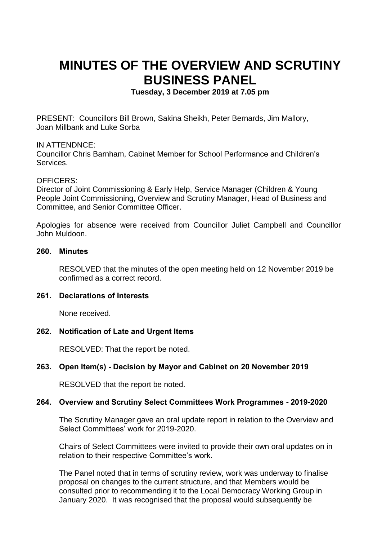# **MINUTES OF THE OVERVIEW AND SCRUTINY BUSINESS PANEL**

**Tuesday, 3 December 2019 at 7.05 pm**

PRESENT: Councillors Bill Brown, Sakina Sheikh, Peter Bernards, Jim Mallory, Joan Millbank and Luke Sorba

#### IN ATTENDNCE:

Councillor Chris Barnham, Cabinet Member for School Performance and Children's Services.

#### OFFICERS:

Director of Joint Commissioning & Early Help, Service Manager (Children & Young People Joint Commissioning, Overview and Scrutiny Manager, Head of Business and Committee, and Senior Committee Officer.

Apologies for absence were received from Councillor Juliet Campbell and Councillor John Muldoon.

#### **260. Minutes**

RESOLVED that the minutes of the open meeting held on 12 November 2019 be confirmed as a correct record.

# **261. Declarations of Interests**

None received.

# **262. Notification of Late and Urgent Items**

RESOLVED: That the report be noted.

# **263. Open Item(s) - Decision by Mayor and Cabinet on 20 November 2019**

RESOLVED that the report be noted.

# **264. Overview and Scrutiny Select Committees Work Programmes - 2019-2020**

The Scrutiny Manager gave an oral update report in relation to the Overview and Select Committees' work for 2019-2020.

Chairs of Select Committees were invited to provide their own oral updates on in relation to their respective Committee's work.

The Panel noted that in terms of scrutiny review, work was underway to finalise proposal on changes to the current structure, and that Members would be consulted prior to recommending it to the Local Democracy Working Group in January 2020. It was recognised that the proposal would subsequently be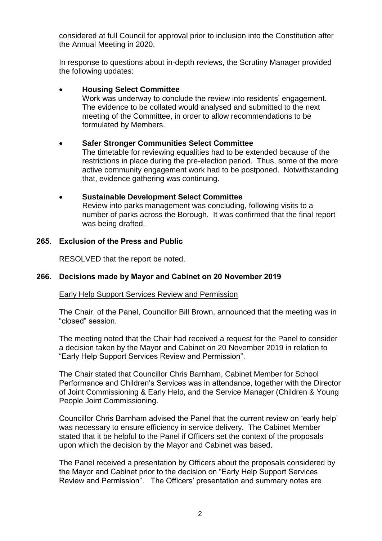considered at full Council for approval prior to inclusion into the Constitution after the Annual Meeting in 2020.

In response to questions about in-depth reviews, the Scrutiny Manager provided the following updates:

# **Housing Select Committee**

Work was underway to conclude the review into residents' engagement. The evidence to be collated would analysed and submitted to the next meeting of the Committee, in order to allow recommendations to be formulated by Members.

# **Safer Stronger Communities Select Committee**

The timetable for reviewing equalities had to be extended because of the restrictions in place during the pre-election period. Thus, some of the more active community engagement work had to be postponed. Notwithstanding that, evidence gathering was continuing.

#### **Sustainable Development Select Committee** Review into parks management was concluding, following visits to a number of parks across the Borough. It was confirmed that the final report was being drafted.

# **265. Exclusion of the Press and Public**

RESOLVED that the report be noted.

# **266. Decisions made by Mayor and Cabinet on 20 November 2019**

#### Early Help Support Services Review and Permission

The Chair, of the Panel, Councillor Bill Brown, announced that the meeting was in "closed" session.

The meeting noted that the Chair had received a request for the Panel to consider a decision taken by the Mayor and Cabinet on 20 November 2019 in relation to "Early Help Support Services Review and Permission".

The Chair stated that Councillor Chris Barnham, Cabinet Member for School Performance and Children's Services was in attendance, together with the Director of Joint Commissioning & Early Help, and the Service Manager (Children & Young People Joint Commissioning.

Councillor Chris Barnham advised the Panel that the current review on 'early help' was necessary to ensure efficiency in service delivery. The Cabinet Member stated that it be helpful to the Panel if Officers set the context of the proposals upon which the decision by the Mayor and Cabinet was based.

The Panel received a presentation by Officers about the proposals considered by the Mayor and Cabinet prior to the decision on "Early Help Support Services Review and Permission". The Officers' presentation and summary notes are